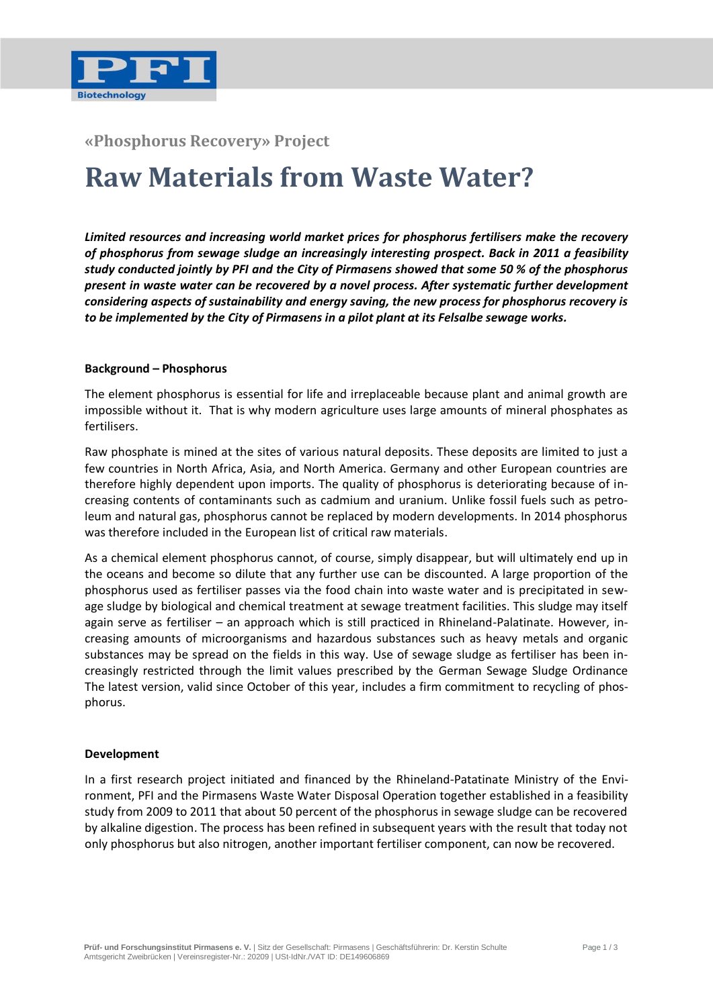

**«Phosphorus Recovery» Project**

# **Raw Materials from Waste Water?**

*Limited resources and increasing world market prices for phosphorus fertilisers make the recovery of phosphorus from sewage sludge an increasingly interesting prospect. Back in 2011 a feasibility study conducted jointly by PFI and the City of Pirmasens showed that some 50 % of the phosphorus present in waste water can be recovered by a novel process. After systematic further development considering aspects of sustainability and energy saving, the new process for phosphorus recovery is to be implemented by the City of Pirmasens in a pilot plant at its Felsalbe sewage works.* 

## **Background – Phosphorus**

The element phosphorus is essential for life and irreplaceable because plant and animal growth are impossible without it. That is why modern agriculture uses large amounts of mineral phosphates as fertilisers.

Raw phosphate is mined at the sites of various natural deposits. These deposits are limited to just a few countries in North Africa, Asia, and North America. Germany and other European countries are therefore highly dependent upon imports. The quality of phosphorus is deteriorating because of increasing contents of contaminants such as cadmium and uranium. Unlike fossil fuels such as petroleum and natural gas, phosphorus cannot be replaced by modern developments. In 2014 phosphorus was therefore included in the European list of critical raw materials.

As a chemical element phosphorus cannot, of course, simply disappear, but will ultimately end up in the oceans and become so dilute that any further use can be discounted. A large proportion of the phosphorus used as fertiliser passes via the food chain into waste water and is precipitated in sewage sludge by biological and chemical treatment at sewage treatment facilities. This sludge may itself again serve as fertiliser – an approach which is still practiced in Rhineland-Palatinate. However, increasing amounts of microorganisms and hazardous substances such as heavy metals and organic substances may be spread on the fields in this way. Use of sewage sludge as fertiliser has been increasingly restricted through the limit values prescribed by the German Sewage Sludge Ordinance The latest version, valid since October of this year, includes a firm commitment to recycling of phosphorus.

## **Development**

In a first research project initiated and financed by the Rhineland-Patatinate Ministry of the Environment, PFI and the Pirmasens Waste Water Disposal Operation together established in a feasibility study from 2009 to 2011 that about 50 percent of the phosphorus in sewage sludge can be recovered by alkaline digestion. The process has been refined in subsequent years with the result that today not only phosphorus but also nitrogen, another important fertiliser component, can now be recovered.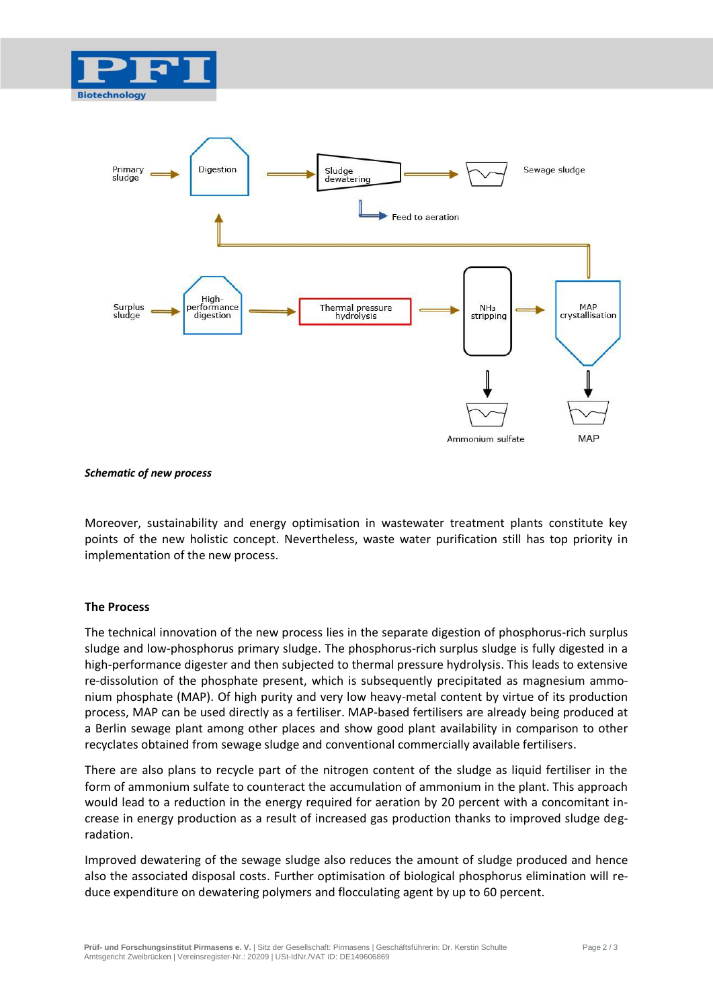



#### *Schematic of new process*

Moreover, sustainability and energy optimisation in wastewater treatment plants constitute key points of the new holistic concept. Nevertheless, waste water purification still has top priority in implementation of the new process.

#### **The Process**

The technical innovation of the new process lies in the separate digestion of phosphorus-rich surplus sludge and low-phosphorus primary sludge. The phosphorus-rich surplus sludge is fully digested in a high-performance digester and then subjected to thermal pressure hydrolysis. This leads to extensive re-dissolution of the phosphate present, which is subsequently precipitated as magnesium ammonium phosphate (MAP). Of high purity and very low heavy-metal content by virtue of its production process, MAP can be used directly as a fertiliser. MAP-based fertilisers are already being produced at a Berlin sewage plant among other places and show good plant availability in comparison to other recyclates obtained from sewage sludge and conventional commercially available fertilisers.

There are also plans to recycle part of the nitrogen content of the sludge as liquid fertiliser in the form of ammonium sulfate to counteract the accumulation of ammonium in the plant. This approach would lead to a reduction in the energy required for aeration by 20 percent with a concomitant increase in energy production as a result of increased gas production thanks to improved sludge degradation.

Improved dewatering of the sewage sludge also reduces the amount of sludge produced and hence also the associated disposal costs. Further optimisation of biological phosphorus elimination will reduce expenditure on dewatering polymers and flocculating agent by up to 60 percent.